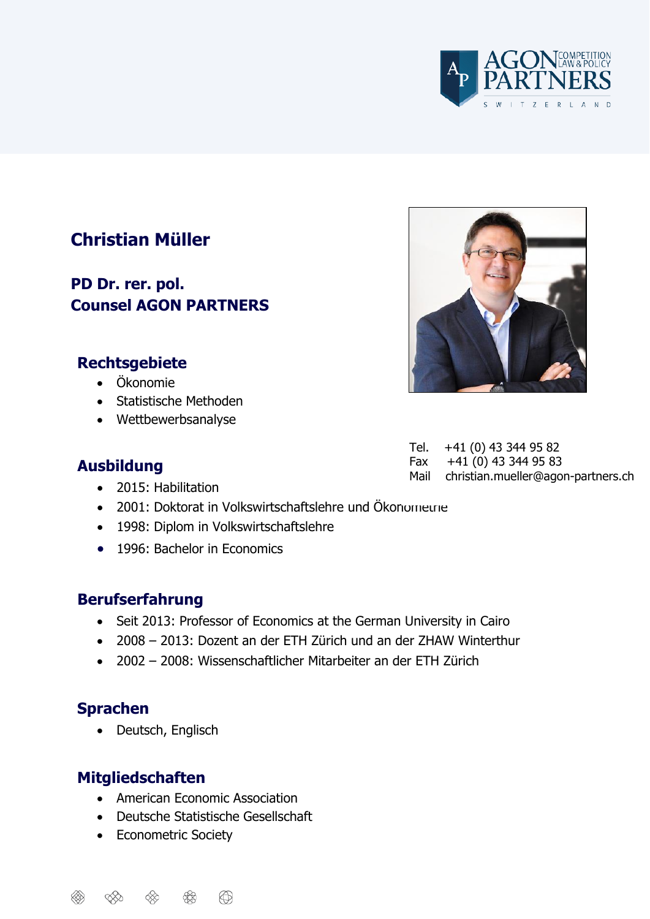

# **Christian Müller**

**PD Dr. rer. pol. Counsel AGON PARTNERS**

#### **Rechtsgebiete**

- Ökonomie
- Statistische Methoden
- Wettbewerbsanalyse

#### **Ausbildung**

• 2015: Habilitation

Tel. +41 (0) 43 344 95 82 Fax +41 (0) 43 344 95 83 Mail christian.mueller@agon-partners.ch

- 2001: Doktorat in Volkswirtschaftslehre und Ökonomeune
- 1998: Diplom in Volkswirtschaftslehre
- 1996: Bachelor in Fronomics

#### **Berufserfahrung**

- Seit 2013: Professor of Economics at the German University in Cairo
- 2008 2013: Dozent an der ETH Zürich und an der ZHAW Winterthur
- 2002 2008: Wissenschaftlicher Mitarbeiter an der ETH Zürich

#### **Sprachen**

• Deutsch, Englisch

#### **Mitgliedschaften**

- American Economic Association
- Deutsche Statistische Gesellschaft
- Econometric Society



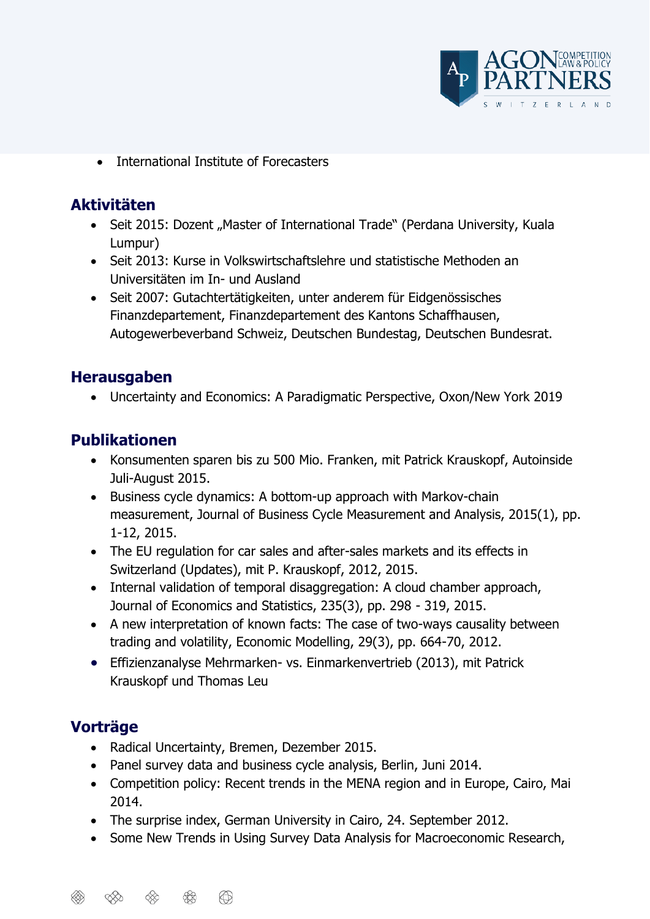

• International Institute of Forecasters

### **Aktivitäten**

- Seit 2015: Dozent "Master of International Trade" (Perdana University, Kuala Lumpur)
- Seit 2013: Kurse in Volkswirtschaftslehre und statistische Methoden an Universitäten im In- und Ausland
- Seit 2007: Gutachtertätigkeiten, unter anderem für Eidgenössisches Finanzdepartement, Finanzdepartement des Kantons Schaffhausen, Autogewerbeverband Schweiz, Deutschen Bundestag, Deutschen Bundesrat.

### **Herausgaben**

• Uncertainty and Economics: A Paradigmatic Perspective, Oxon/New York 2019

## **Publikationen**

- Konsumenten sparen bis zu 500 Mio. Franken, mit Patrick Krauskopf, Autoinside Juli-August 2015.
- Business cycle dynamics: A bottom-up approach with Markov-chain measurement, Journal of Business Cycle Measurement and Analysis, 2015(1), pp. 1-12, 2015.
- The EU regulation for car sales and after-sales markets and its effects in Switzerland (Updates), mit P. Krauskopf, 2012, 2015.
- Internal validation of temporal disaggregation: A cloud chamber approach, Journal of Economics and Statistics, 235(3), pp. 298 - 319, 2015.
- A new interpretation of known facts: The case of two-ways causality between trading and volatility, Economic Modelling, 29(3), pp. 664-70, 2012.
- Effizienzanalyse Mehrmarken- vs. Einmarkenvertrieb (2013), mit Patrick Krauskopf und Thomas Leu

## **Vorträge**

- Radical Uncertainty, Bremen, Dezember 2015.
- Panel survey data and business cycle analysis, Berlin, Juni 2014.
- Competition policy: Recent trends in the MENA region and in Europe, Cairo, Mai 2014.
- The surprise index, German University in Cairo, 24. September 2012.
- Some New Trends in Using Survey Data Analysis for Macroeconomic Research,